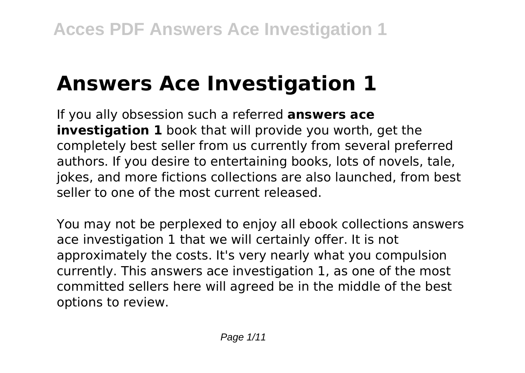# **Answers Ace Investigation 1**

If you ally obsession such a referred **answers ace investigation 1** book that will provide you worth, get the completely best seller from us currently from several preferred authors. If you desire to entertaining books, lots of novels, tale, jokes, and more fictions collections are also launched, from best seller to one of the most current released.

You may not be perplexed to enjoy all ebook collections answers ace investigation 1 that we will certainly offer. It is not approximately the costs. It's very nearly what you compulsion currently. This answers ace investigation 1, as one of the most committed sellers here will agreed be in the middle of the best options to review.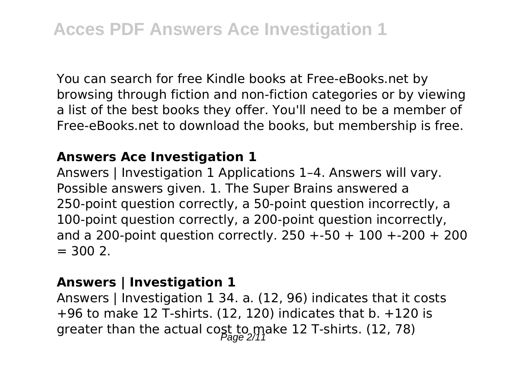You can search for free Kindle books at Free-eBooks.net by browsing through fiction and non-fiction categories or by viewing a list of the best books they offer. You'll need to be a member of Free-eBooks.net to download the books, but membership is free.

#### **Answers Ace Investigation 1**

Answers | Investigation 1 Applications 1–4. Answers will vary. Possible answers given. 1. The Super Brains answered a 250-point question correctly, a 50-point question incorrectly, a 100-point question correctly, a 200-point question incorrectly, and a 200-point question correctly.  $250 + 50 + 100 + 200 + 200$  $= 300.2$ .

# **Answers | Investigation 1**

Answers | Investigation 1 34. a. (12, 96) indicates that it costs  $+96$  to make 12 T-shirts. (12, 120) indicates that b.  $+120$  is greater than the actual cost to make 12 T-shirts. (12, 78)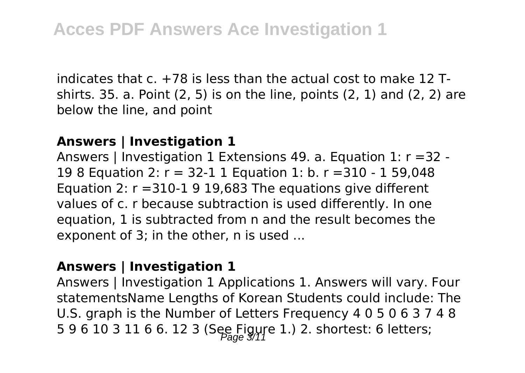indicates that  $c. +78$  is less than the actual cost to make 12 Tshirts. 35. a. Point (2, 5) is on the line, points (2, 1) and (2, 2) are below the line, and point

#### **Answers | Investigation 1**

Answers | Investigation 1 Extensions 49. a. Equation 1: r =32 - 19 8 Equation 2: r = 32-1 1 Equation 1: b. r =310 - 1 59,048 Equation 2:  $r = 310-1919.683$  The equations give different values of c. r because subtraction is used differently. In one equation, 1 is subtracted from n and the result becomes the exponent of 3; in the other, n is used ...

#### **Answers | Investigation 1**

Answers | Investigation 1 Applications 1. Answers will vary. Four statementsName Lengths of Korean Students could include: The U.S. graph is the Number of Letters Frequency 4 0 5 0 6 3 7 4 8 5 9 6 10 3 11 6 6. 12 3 (See Figure 1.) 2. shortest: 6 letters;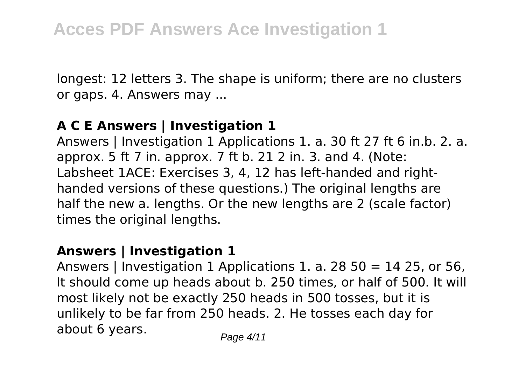longest: 12 letters 3. The shape is uniform; there are no clusters or gaps. 4. Answers may ...

# **A C E Answers | Investigation 1**

Answers | Investigation 1 Applications 1. a. 30 ft 27 ft 6 in.b. 2. a. approx. 5 ft 7 in. approx. 7 ft b. 21 2 in. 3. and 4. (Note: Labsheet 1ACE: Exercises 3, 4, 12 has left-handed and righthanded versions of these questions.) The original lengths are half the new a. lengths. Or the new lengths are 2 (scale factor) times the original lengths.

# **Answers | Investigation 1**

Answers | Investigation 1 Applications 1. a. 28 50 = 14 25, or 56, It should come up heads about b. 250 times, or half of 500. It will most likely not be exactly 250 heads in 500 tosses, but it is unlikely to be far from 250 heads. 2. He tosses each day for about 6 years.  $P_{\text{face 4/11}}$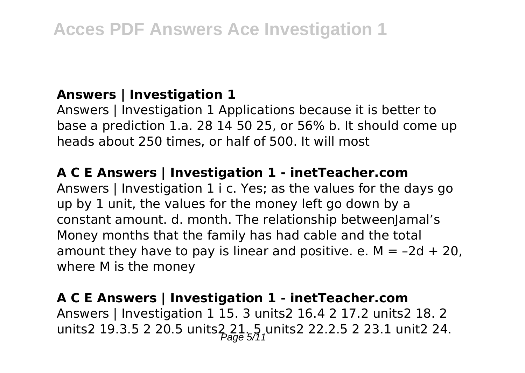# **Answers | Investigation 1**

Answers | Investigation 1 Applications because it is better to base a prediction 1.a. 28 14 50 25, or 56% b. It should come up heads about 250 times, or half of 500. It will most

# **A C E Answers | Investigation 1 - inetTeacher.com**

Answers | Investigation 1 i c. Yes; as the values for the days go up by 1 unit, the values for the money left go down by a constant amount. d. month. The relationship betweenJamal's Money months that the family has had cable and the total amount they have to pay is linear and positive. e.  $M = -2d + 20$ . where M is the money

# **A C E Answers | Investigation 1 - inetTeacher.com**

Answers | Investigation 1 15. 3 units2 16.4 2 17.2 units2 18. 2 units2 19.3.5 2 20.5 units2  $21.5$  units2 22.2.5 2 23.1 unit2 24.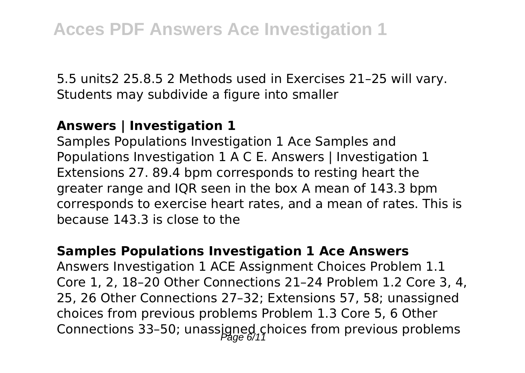5.5 units2 25.8.5 2 Methods used in Exercises 21–25 will vary. Students may subdivide a figure into smaller

# **Answers | Investigation 1**

Samples Populations Investigation 1 Ace Samples and Populations Investigation 1 A C E. Answers | Investigation 1 Extensions 27. 89.4 bpm corresponds to resting heart the greater range and IQR seen in the box A mean of 143.3 bpm corresponds to exercise heart rates, and a mean of rates. This is because 143.3 is close to the

#### **Samples Populations Investigation 1 Ace Answers**

Answers Investigation 1 ACE Assignment Choices Problem 1.1 Core 1, 2, 18–20 Other Connections 21–24 Problem 1.2 Core 3, 4, 25, 26 Other Connections 27–32; Extensions 57, 58; unassigned choices from previous problems Problem 1.3 Core 5, 6 Other Connections 33-50; unassigned choices from previous problems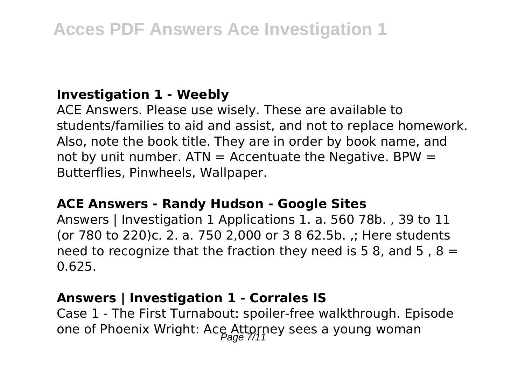# **Investigation 1 - Weebly**

ACE Answers. Please use wisely. These are available to students/families to aid and assist, and not to replace homework. Also, note the book title. They are in order by book name, and not by unit number.  $ATN =$  Accentuate the Negative. BPW = Butterflies, Pinwheels, Wallpaper.

#### **ACE Answers - Randy Hudson - Google Sites**

Answers | Investigation 1 Applications 1. a. 560 78b. , 39 to 11 (or 780 to 220)c. 2. a. 750 2,000 or 3 8 62.5b. ,; Here students need to recognize that the fraction they need is 5 8, and 5, 8 = 0.625.

# **Answers | Investigation 1 - Corrales IS**

Case 1 - The First Turnabout: spoiler-free walkthrough. Episode one of Phoenix Wright: Ace Attorney sees a young woman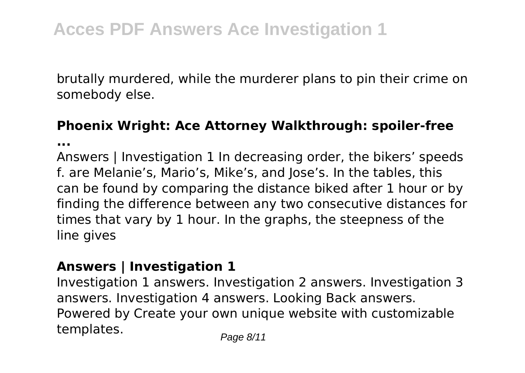brutally murdered, while the murderer plans to pin their crime on somebody else.

# **Phoenix Wright: Ace Attorney Walkthrough: spoiler-free**

**...**

Answers | Investigation 1 In decreasing order, the bikers' speeds f. are Melanie's, Mario's, Mike's, and Jose's. In the tables, this can be found by comparing the distance biked after 1 hour or by finding the difference between any two consecutive distances for times that vary by 1 hour. In the graphs, the steepness of the line gives

# **Answers | Investigation 1**

Investigation 1 answers. Investigation 2 answers. Investigation 3 answers. Investigation 4 answers. Looking Back answers. Powered by Create your own unique website with customizable templates. Page 8/11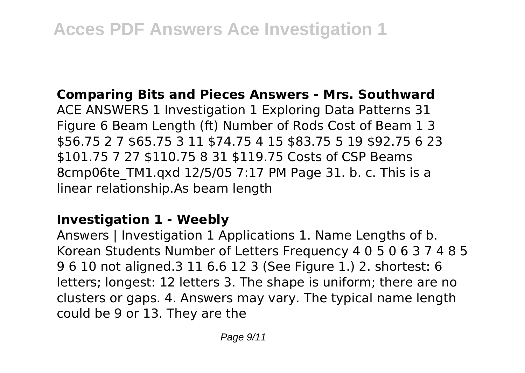# **Comparing Bits and Pieces Answers - Mrs. Southward**

ACE ANSWERS 1 Investigation 1 Exploring Data Patterns 31 Figure 6 Beam Length (ft) Number of Rods Cost of Beam 1 3 \$56.75 2 7 \$65.75 3 11 \$74.75 4 15 \$83.75 5 19 \$92.75 6 23 \$101.75 7 27 \$110.75 8 31 \$119.75 Costs of CSP Beams 8cmp06te\_TM1.qxd 12/5/05 7:17 PM Page 31. b. c. This is a linear relationship.As beam length

# **Investigation 1 - Weebly**

Answers | Investigation 1 Applications 1. Name Lengths of b. Korean Students Number of Letters Frequency 4 0 5 0 6 3 7 4 8 5 9 6 10 not aligned.3 11 6.6 12 3 (See Figure 1.) 2. shortest: 6 letters; longest: 12 letters 3. The shape is uniform; there are no clusters or gaps. 4. Answers may vary. The typical name length could be 9 or 13. They are the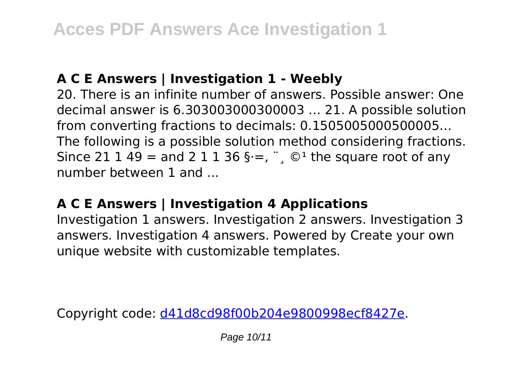# **A C E Answers | Investigation 1 - Weebly**

20. There is an infinite number of answers. Possible answer: One decimal answer is 6.303003000300003 … 21. A possible solution from converting fractions to decimals: 0.1505005000500005… The following is a possible solution method considering fractions. Since 21 1 49 = and 2 1 1 36 § $=$ ,  $\degree$ ,  $\degree$  the square root of any number between 1 and ...

# **A C E Answers | Investigation 4 Applications**

Investigation 1 answers. Investigation 2 answers. Investigation 3 answers. Investigation 4 answers. Powered by Create your own unique website with customizable templates.

Copyright code: [d41d8cd98f00b204e9800998ecf8427e.](/sitemap.xml)